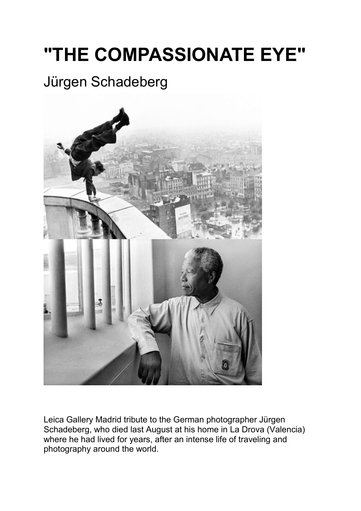# **"THE COMPASSIONATE EYE"**

## Jürgen Schadeberg



Leica Gallery Madrid tribute to the German photographer Jürgen Schadeberg, who died last August at his home in La Drova (Valencia) where he had lived for years, after an intense life of traveling and photography around the world.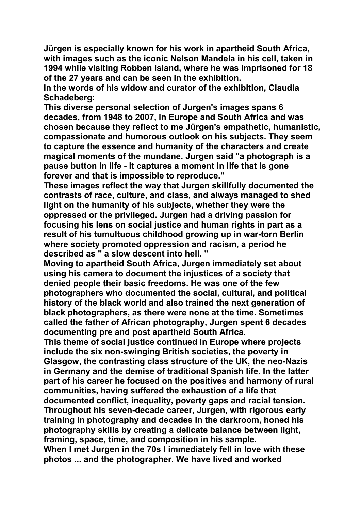**Jürgen is especially known for his work in apartheid South Africa, with images such as the iconic Nelson Mandela in his cell, taken in 1994 while visiting Robben Island, where he was imprisoned for 18 of the 27 years and can be seen in the exhibition.**

**In the words of his widow and curator of the exhibition, Claudia Schadeberg:**

**This diverse personal selection of Jurgen's images spans 6 decades, from 1948 to 2007, in Europe and South Africa and was chosen because they reflect to me Jürgen's empathetic, humanistic, compassionate and humorous outlook on his subjects.They seem to capture the essence and humanity of the characters and create magical moments of the mundane. Jurgen said "a photograph is a pause button in life - it captures a moment in life that is gone forever and that is impossible to reproduce."**

**These images reflect the way thatJurgen skillfully documented the contrasts of race, culture, and class, and always managed to shed light on the humanity of his subjects, whether they were the oppressed or the privileged. Jurgen had a driving passion for focusing his lens on social justice and human rights in part as a result of his tumultuous childhood growing up in war-torn Berlin where society promoted oppression and racism, a period he described as " a slow descent into hell. "**

**Moving to apartheid South Africa, Jurgen immediately set about using his camera to document the injustices of a society that denied people their basic freedoms. He was one of the few photographers who documented the social, cultural, and political history of the black world and also trained the next generation of black photographers, as there were none at the time. Sometimes called the father ofAfrican photography, Jurgen spent 6 decades documenting pre and post apartheid South Africa.**

**This theme of social justice continued in Europe where projects include the six non-swinging British societies, the poverty in Glasgow, the contrasting class structure of the UK, the neo-Nazis in Germany and the demise of traditional Spanish life. In the latter part of his career he focused on the positives and harmony of rural communities, having suffered the exhaustion of a life that documented conflict, inequality, poverty gaps and racial tension. Throughout his seven-decade career, Jurgen, with rigorous early training in photography and decades in the darkroom, honed his photography skills by creating a delicate balance between light, framing, space, time, and composition in his sample.**

**When I met Jurgen in the 70s I immediately fell in love with these photos ... and the photographer. We have lived and worked**